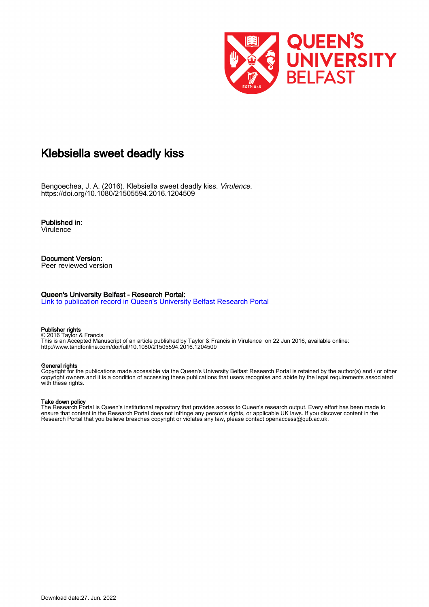

# Klebsiella sweet deadly kiss

Bengoechea, J. A. (2016). Klebsiella sweet deadly kiss. Virulence. <https://doi.org/10.1080/21505594.2016.1204509>

Published in: Virulence

#### Document Version: Peer reviewed version

#### Queen's University Belfast - Research Portal:

[Link to publication record in Queen's University Belfast Research Portal](https://pure.qub.ac.uk/en/publications/e388b365-3f0b-46d3-8d66-eea69a6fa0dc)

#### Publisher rights

© 2016 Taylor & Francis This is an Accepted Manuscript of an article published by Taylor & Francis in Virulence on 22 Jun 2016, available online: http://www.tandfonline.com/doi/full/10.1080/21505594.2016.1204509

#### General rights

Copyright for the publications made accessible via the Queen's University Belfast Research Portal is retained by the author(s) and / or other copyright owners and it is a condition of accessing these publications that users recognise and abide by the legal requirements associated with these rights.

#### Take down policy

The Research Portal is Queen's institutional repository that provides access to Queen's research output. Every effort has been made to ensure that content in the Research Portal does not infringe any person's rights, or applicable UK laws. If you discover content in the Research Portal that you believe breaches copyright or violates any law, please contact openaccess@qub.ac.uk.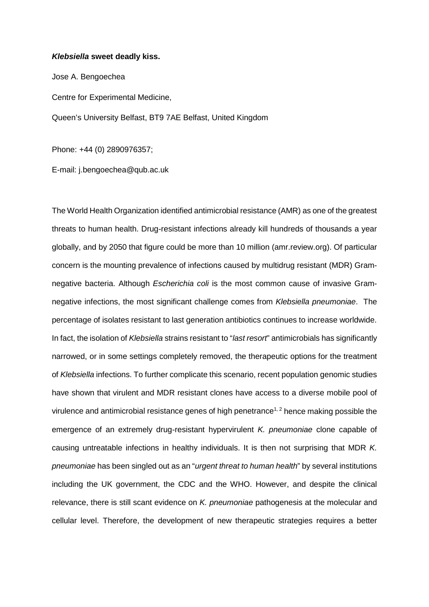### *Klebsiella* **sweet deadly kiss.**

Jose A. Bengoechea Centre for Experimental Medicine, Queen's University Belfast, BT9 7AE Belfast, United Kingdom

Phone: +44 (0) 2890976357;

E-mail: j.bengoechea@qub.ac.uk

The World Health Organization identified antimicrobial resistance (AMR) as one of the greatest threats to human health. Drug-resistant infections already kill hundreds of thousands a year globally, and by 2050 that figure could be more than 10 million (amr.review.org). Of particular concern is the mounting prevalence of infections caused by multidrug resistant (MDR) Gramnegative bacteria. Although *Escherichia coli* is the most common cause of invasive Gramnegative infections, the most significant challenge comes from *Klebsiella pneumoniae*. The percentage of isolates resistant to last generation antibiotics continues to increase worldwide. In fact, the isolation of *Klebsiella* strains resistant to "*last resort*" antimicrobials has significantly narrowed, or in some settings completely removed, the therapeutic options for the treatment of *Klebsiella* infections. To further complicate this scenario, recent population genomic studies have shown that virulent and MDR resistant clones have access to a diverse mobile pool of virulence and antimicrobial resistance genes of high penetrance<sup>1, 2</sup> hence making possible the emergence of an extremely drug-resistant hypervirulent *K. pneumoniae* clone capable of causing untreatable infections in healthy individuals. It is then not surprising that MDR *K. pneumoniae* has been singled out as an "*urgent threat to human health*" by several institutions including the UK government, the CDC and the WHO. However, and despite the clinical relevance, there is still scant evidence on *K. pneumoniae* pathogenesis at the molecular and cellular level. Therefore, the development of new therapeutic strategies requires a better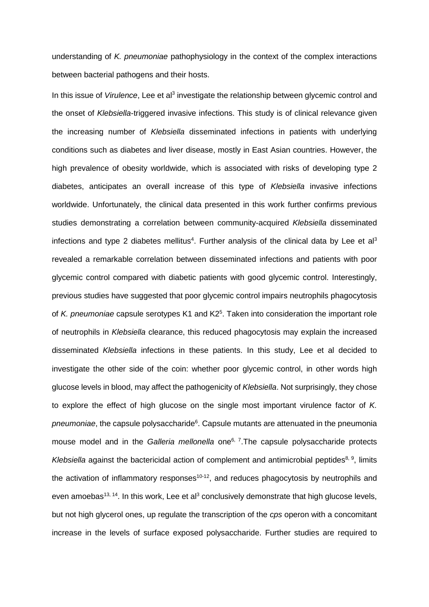understanding of *K. pneumoniae* pathophysiology in the context of the complex interactions between bacterial pathogens and their hosts.

In this issue of *Virulence*, Lee et al<sup>3</sup> investigate the relationship between glycemic control and the onset of *Klebsiella*-triggered invasive infections. This study is of clinical relevance given the increasing number of *Klebsiella* disseminated infections in patients with underlying conditions such as diabetes and liver disease, mostly in East Asian countries. However, the high prevalence of obesity worldwide, which is associated with risks of developing type 2 diabetes, anticipates an overall increase of this type of *Klebsiella* invasive infections worldwide. Unfortunately, the clinical data presented in this work further confirms previous studies demonstrating a correlation between community-acquired *Klebsiella* disseminated infections and type 2 diabetes mellitus<sup>4</sup>. Further analysis of the clinical data by Lee et al<sup>3</sup> revealed a remarkable correlation between disseminated infections and patients with poor glycemic control compared with diabetic patients with good glycemic control. Interestingly, previous studies have suggested that poor glycemic control impairs neutrophils phagocytosis of *K. pneumoniae* capsule serotypes K1 and K25 . Taken into consideration the important role of neutrophils in *Klebsiella* clearance, this reduced phagocytosis may explain the increased disseminated *Klebsiella* infections in these patients. In this study, Lee et al decided to investigate the other side of the coin: whether poor glycemic control, in other words high glucose levels in blood, may affect the pathogenicity of *Klebsiella*. Not surprisingly, they chose to explore the effect of high glucose on the single most important virulence factor of *K.*  pneumoniae, the capsule polysaccharide<sup>6</sup>. Capsule mutants are attenuated in the pneumonia mouse model and in the *Galleria mellonella* one<sup>6, 7</sup>. The capsule polysaccharide protects *Klebsiella* against the bactericidal action of complement and antimicrobial peptides<sup>8, 9</sup>, limits the activation of inflammatory responses<sup>10-12</sup>, and reduces phagocytosis by neutrophils and even amoebas<sup>13, 14</sup>. In this work, Lee et al<sup>3</sup> conclusively demonstrate that high glucose levels, but not high glycerol ones, up regulate the transcription of the *cps* operon with a concomitant increase in the levels of surface exposed polysaccharide. Further studies are required to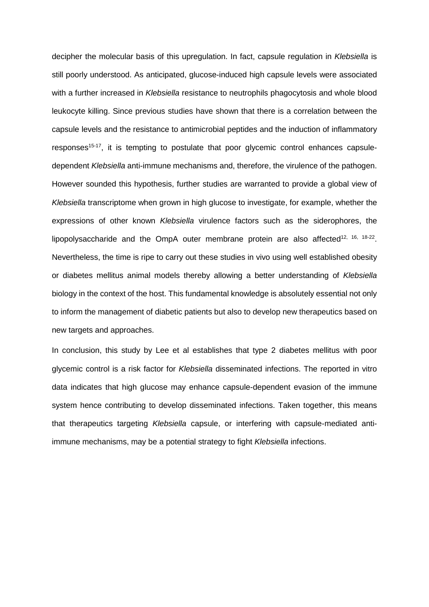decipher the molecular basis of this upregulation. In fact, capsule regulation in *Klebsiella* is still poorly understood. As anticipated, glucose-induced high capsule levels were associated with a further increased in *Klebsiella* resistance to neutrophils phagocytosis and whole blood leukocyte killing. Since previous studies have shown that there is a correlation between the capsule levels and the resistance to antimicrobial peptides and the induction of inflammatory responses<sup>15-17</sup>, it is tempting to postulate that poor given in control enhances capsuledependent *Klebsiella* anti-immune mechanisms and, therefore, the virulence of the pathogen. However sounded this hypothesis, further studies are warranted to provide a global view of *Klebsiella* transcriptome when grown in high glucose to investigate, for example, whether the expressions of other known *Klebsiella* virulence factors such as the siderophores, the lipopolysaccharide and the OmpA outer membrane protein are also affected<sup>12, 16, 18-22</sup>. Nevertheless, the time is ripe to carry out these studies in vivo using well established obesity or diabetes mellitus animal models thereby allowing a better understanding of *Klebsiella* biology in the context of the host. This fundamental knowledge is absolutely essential not only to inform the management of diabetic patients but also to develop new therapeutics based on new targets and approaches.

In conclusion, this study by Lee et al establishes that type 2 diabetes mellitus with poor glycemic control is a risk factor for *Klebsiella* disseminated infections. The reported in vitro data indicates that high glucose may enhance capsule-dependent evasion of the immune system hence contributing to develop disseminated infections. Taken together, this means that therapeutics targeting *Klebsiella* capsule, or interfering with capsule-mediated antiimmune mechanisms, may be a potential strategy to fight *Klebsiella* infections.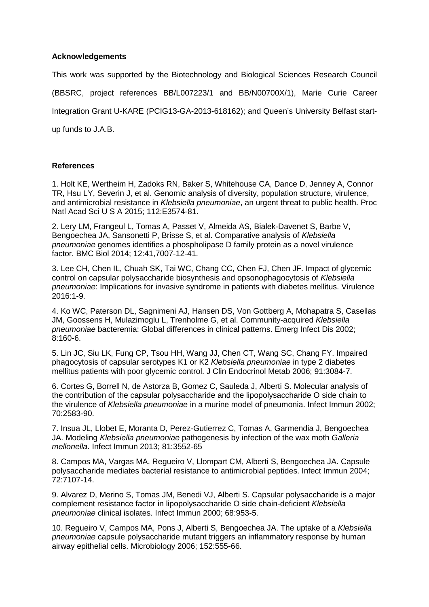## **Acknowledgements**

This work was supported by the Biotechnology and Biological Sciences Research Council

(BBSRC, project references BB/L007223/1 and BB/N00700X/1), Marie Curie Career

Integration Grant U-KARE (PCIG13-GA-2013-618162); and Queen's University Belfast start-

up funds to J.A.B.

## **References**

1. Holt KE, Wertheim H, Zadoks RN, Baker S, Whitehouse CA, Dance D, Jenney A, Connor TR, Hsu LY, Severin J, et al. Genomic analysis of diversity, population structure, virulence, and antimicrobial resistance in *Klebsiella pneumoniae*, an urgent threat to public health. Proc Natl Acad Sci U S A 2015; 112:E3574-81.

2. Lery LM, Frangeul L, Tomas A, Passet V, Almeida AS, Bialek-Davenet S, Barbe V, Bengoechea JA, Sansonetti P, Brisse S, et al. Comparative analysis of *Klebsiella pneumoniae* genomes identifies a phospholipase D family protein as a novel virulence factor. BMC Biol 2014; 12:41,7007-12-41.

3. Lee CH, Chen IL, Chuah SK, Tai WC, Chang CC, Chen FJ, Chen JF. Impact of glycemic control on capsular polysaccharide biosynthesis and opsonophagocytosis of *Klebsiella pneumoniae*: Implications for invasive syndrome in patients with diabetes mellitus. Virulence 2016:1-9.

4. Ko WC, Paterson DL, Sagnimeni AJ, Hansen DS, Von Gottberg A, Mohapatra S, Casellas JM, Goossens H, Mulazimoglu L, Trenholme G, et al. Community-acquired *Klebsiella pneumoniae* bacteremia: Global differences in clinical patterns. Emerg Infect Dis 2002; 8:160-6.

5. Lin JC, Siu LK, Fung CP, Tsou HH, Wang JJ, Chen CT, Wang SC, Chang FY. Impaired phagocytosis of capsular serotypes K1 or K2 *Klebsiella pneumoniae* in type 2 diabetes mellitus patients with poor glycemic control. J Clin Endocrinol Metab 2006; 91:3084-7.

6. Cortes G, Borrell N, de Astorza B, Gomez C, Sauleda J, Alberti S. Molecular analysis of the contribution of the capsular polysaccharide and the lipopolysaccharide O side chain to the virulence of *Klebsiella pneumoniae* in a murine model of pneumonia. Infect Immun 2002; 70:2583-90.

7. Insua JL, Llobet E, Moranta D, Perez-Gutierrez C, Tomas A, Garmendia J, Bengoechea JA. Modeling *Klebsiella pneumoniae* pathogenesis by infection of the wax moth *Galleria mellonella*. Infect Immun 2013; 81:3552-65

8. Campos MA, Vargas MA, Regueiro V, Llompart CM, Alberti S, Bengoechea JA. Capsule polysaccharide mediates bacterial resistance to antimicrobial peptides. Infect Immun 2004; 72:7107-14.

9. Alvarez D, Merino S, Tomas JM, Benedi VJ, Alberti S. Capsular polysaccharide is a major complement resistance factor in lipopolysaccharide O side chain-deficient *Klebsiella pneumoniae* clinical isolates. Infect Immun 2000; 68:953-5.

10. Regueiro V, Campos MA, Pons J, Alberti S, Bengoechea JA. The uptake of a *Klebsiella pneumoniae* capsule polysaccharide mutant triggers an inflammatory response by human airway epithelial cells. Microbiology 2006; 152:555-66.